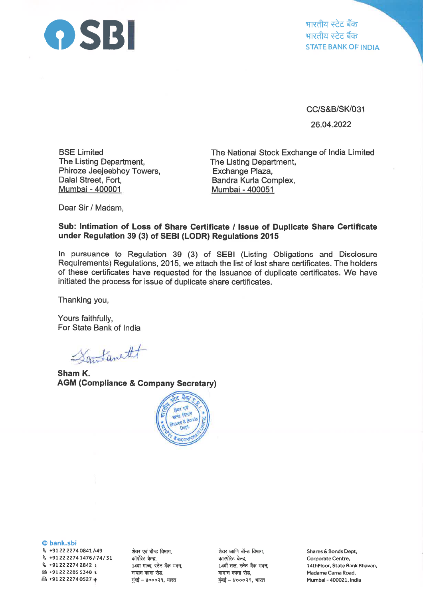

भारतीय स्टेट ब<mark>ँक</mark><br>भारतीय स्टेट बैंक STATE BANK OF INDIA

cc/s&B/st(031

26.04.2022

BSE Limited The Listing Department, Phiroze Jeejeebhoy Towers, Dalal Street, Fort, Mumbai - 400001

The National Stock Exchange of lndia Limited The Listing Department, Exchange Plaza, Bandra Kurla Complex, Mumbai - 400051

Dear Sir / Madam,

## Sub: lntimation of Loss of Share Certificate / lssue of Duplicate Share Certificate under Regulation 39 (3) of SEBI (LODR) Regulations <sup>2015</sup>

ln pursuance to Regulation 39 (3) of SEBI (Listing Obligations and Disclosure Requirements) Regulations, 2015, we attach the list of lost share certificates. The holders of these certificates have requested for the issuance of duplicate certificates. We have initiated the process for issue of duplicate share certificates.

Thanking you,

Yours faithfully, For State Bank of India

Santanetht

Sham K. AGM (Gompliance & Company Secretary)



@ bank.sbi

\ +912222740841h49 q +9122 22747476174131  $$+912222742842$  t & +91 22 2285 5348 <sup>r</sup> 凸 +91 22 2274 0527  $\ast$ 

शेयर एवं बॉन्ड विभाग, कॉर्पोरेट केन्द्र, 14वा माळा, स्टेट बँक भवन, मादाम कामा रोड, मुंबई – ४०००२१, भारत

शेयर आणि बॉन्ड विभाग, कारपोरेट केन्द्र, 14वाँ तल, स्टेट बैंक भवन, मादाम कामा रोड, मुंबई - ४०००२१, भारत

Shares & Bonds Dept, Corporate Centre, l4thFloor, State Bank Bhavan, Madame Cama Road, Mumbai - 400021, India